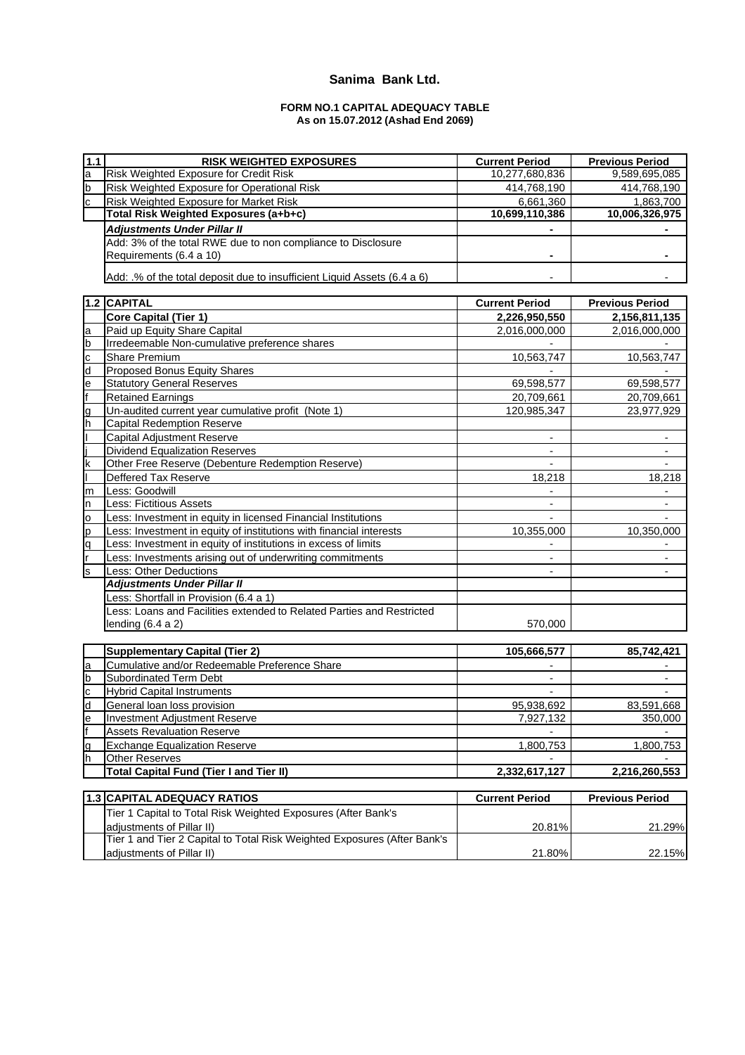## **Sanima Bank Ltd.**

#### **FORM NO.1 CAPITAL ADEQUACY TABLE As on 15.07.2012 (Ashad End 2069)**

| $1.1$ | <b>RISK WEIGHTED EXPOSURES</b>                                           | <b>Current Period</b> | <b>Previous Period</b>   |
|-------|--------------------------------------------------------------------------|-----------------------|--------------------------|
| a     | Risk Weighted Exposure for Credit Risk                                   | 10,277,680,836        | 9,589,695,085            |
| b     | Risk Weighted Exposure for Operational Risk                              | 414,768,190           | 414,768,190              |
| C     | Risk Weighted Exposure for Market Risk                                   | 6,661,360             | 1.863.700                |
|       | Total Risk Weighted Exposures (a+b+c)                                    | 10,699,110,386        | 10,006,326,975           |
|       | <b>Adjustments Under Pillar II</b>                                       |                       |                          |
|       | Add: 3% of the total RWE due to non compliance to Disclosure             |                       |                          |
|       | Requirements (6.4 a 10)                                                  |                       |                          |
|       |                                                                          |                       |                          |
|       | Add: .% of the total deposit due to insufficient Liquid Assets (6.4 a 6) |                       |                          |
|       |                                                                          |                       |                          |
|       | 1.2 CAPITAL                                                              | <b>Current Period</b> | <b>Previous Period</b>   |
|       | Core Capital (Tier 1)                                                    | 2,226,950,550         | 2,156,811,135            |
| a     | Paid up Equity Share Capital                                             | 2,016,000,000         | 2,016,000,000            |
| b     | Irredeemable Non-cumulative preference shares                            |                       |                          |
| c     | Share Premium                                                            | 10,563,747            | 10,563,747               |
| d     | <b>Proposed Bonus Equity Shares</b>                                      |                       |                          |
| e     | <b>Statutory General Reserves</b>                                        | 69,598,577            | 69,598,577               |
|       | <b>Retained Earnings</b>                                                 | 20,709,661            | 20,709,661               |
| g     | Un-audited current year cumulative profit (Note 1)                       | 120,985,347           | 23,977,929               |
| h     | <b>Capital Redemption Reserve</b>                                        |                       |                          |
|       | Capital Adjustment Reserve                                               |                       |                          |
|       | <b>Dividend Equalization Reserves</b>                                    |                       | $\blacksquare$           |
| k     | Other Free Reserve (Debenture Redemption Reserve)                        |                       |                          |
|       | Deffered Tax Reserve                                                     | 18,218                | 18,218                   |
| m     | Less: Goodwill                                                           |                       |                          |
| n     | <b>Less: Fictitious Assets</b>                                           |                       | $\overline{\phantom{a}}$ |
| o     | Less: Investment in equity in licensed Financial Institutions            |                       | $\overline{\phantom{a}}$ |
| p     | Less: Investment in equity of institutions with financial interests      | 10,355,000            | 10,350,000               |
| q     | Less: Investment in equity of institutions in excess of limits           |                       |                          |
|       | Less: Investments arising out of underwriting commitments                |                       |                          |
| s     | Less: Other Deductions                                                   |                       |                          |
|       | <b>Adjustments Under Pillar II</b>                                       |                       |                          |
|       | Less: Shortfall in Provision (6.4 a 1)                                   |                       |                          |
|       | Less: Loans and Facilities extended to Related Parties and Restricted    |                       |                          |
|       | lending $(6.4 a 2)$                                                      | 570,000               |                          |
|       |                                                                          |                       |                          |
|       | <b>Supplementary Capital (Tier 2)</b>                                    | 105,666,577           | 85,742,421               |
| a     | Cumulative and/or Redeemable Preference Share                            |                       |                          |
| b     | Subordinated Term Debt                                                   |                       |                          |
| C     | <b>Hybrid Capital Instruments</b>                                        |                       |                          |
| d     | General loan loss provision                                              | 95,938,692            | 83,591,668               |
| le    | Investment Adjustment Reserve                                            | 7,927,132             | 350,000                  |
|       | <b>Assets Revaluation Reserve</b>                                        |                       |                          |
| g     | <b>Exchange Equalization Reserve</b>                                     | 1,800,753             | 1,800,753                |
| h     | Other Reserves                                                           |                       |                          |
|       | <b>Total Capital Fund (Tier I and Tier II)</b>                           | 2,332,617,127         | 2,216,260,553            |
|       |                                                                          |                       |                          |
|       | <b>1.3 CAPITAL ADEQUACY RATIOS</b>                                       | <b>Current Period</b> | <b>Previous Period</b>   |
|       | Tier 1 Capital to Total Risk Weighted Exposures (After Bank's            |                       |                          |
|       | adjustments of Pillar II)                                                | 20.81%                | 21.29%                   |
|       | Tier 1 and Tier 2 Capital to Total Risk Weighted Exposures (After Bank's |                       |                          |
|       | adjustments of Pillar II)                                                | 21.80%                | 22.15%                   |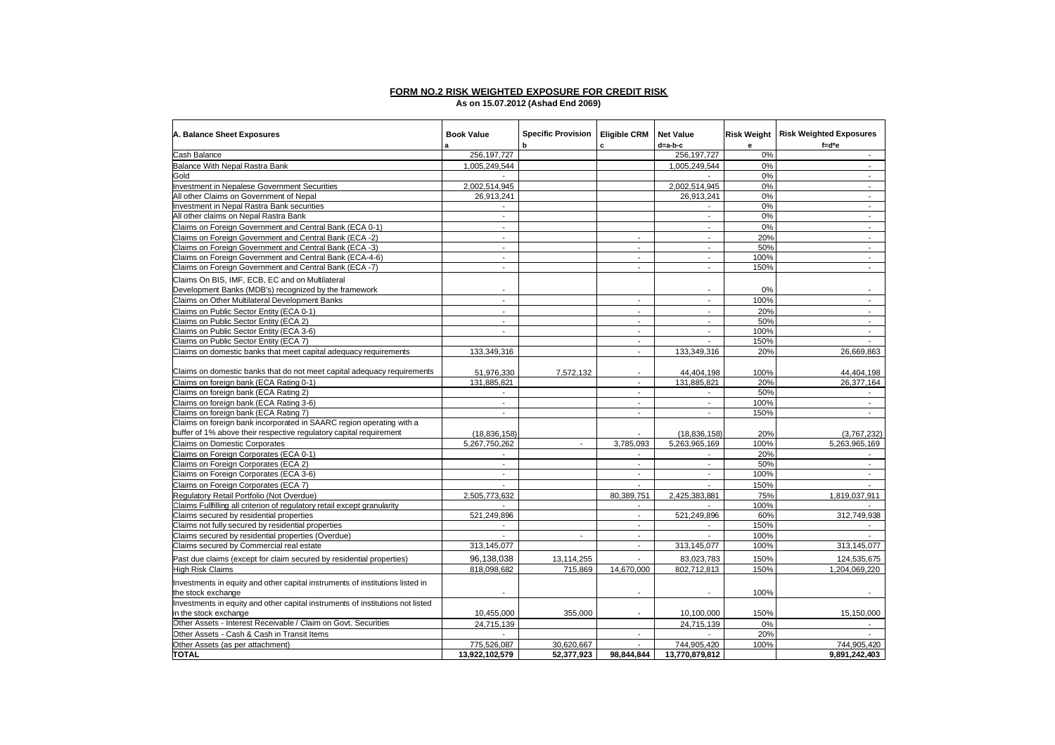#### **FORM NO.2 RISK WEIGHTED EXPOSURE FOR CREDIT RISK As on 15.07.2012 (Ashad End 2069)**

| A. Balance Sheet Exposures                                                                              | <b>Book Value</b><br>a                               | Specific Provision   Eligible CRM<br>b | c                           | <b>Net Value</b><br>d=a-b-c              | <b>Risk Weight</b><br>е | <b>Risk Weighted Exposures</b><br>$f = d^*e$ |
|---------------------------------------------------------------------------------------------------------|------------------------------------------------------|----------------------------------------|-----------------------------|------------------------------------------|-------------------------|----------------------------------------------|
| Cash Balance                                                                                            | 256, 197, 727                                        |                                        |                             | 256, 197, 727                            | 0%                      | $\sim$                                       |
| Balance With Nepal Rastra Bank                                                                          | 1,005,249,544                                        |                                        |                             | 1.005.249.544                            | 0%                      | $\sim$                                       |
| Gold                                                                                                    |                                                      |                                        |                             |                                          | 0%                      | $\sim$                                       |
| <b>Investment in Nepalese Government Securities</b>                                                     | 2,002,514,945                                        |                                        |                             | 2,002,514,945                            | 0%                      | $\overline{\phantom{a}}$                     |
| All other Claims on Government of Nepal                                                                 | 26,913,241                                           |                                        |                             | 26,913,241                               | 0%                      | $\blacksquare$                               |
| Investment in Nepal Rastra Bank securities                                                              |                                                      |                                        |                             |                                          | 0%                      | $\sim$                                       |
| All other claims on Nepal Rastra Bank                                                                   | $\overline{\phantom{a}}$                             |                                        |                             | $\mathbf{L}$                             | 0%                      | $\sim$                                       |
| Claims on Foreign Government and Central Bank (ECA 0-1)                                                 | $\sim$                                               |                                        |                             | $\sim$                                   | 0%                      | $\sim$                                       |
| Claims on Foreign Government and Central Bank (ECA -2)                                                  |                                                      |                                        |                             | $\sim$                                   | 20%                     | $\overline{\phantom{a}}$                     |
| Claims on Foreign Government and Central Bank (ECA -3)                                                  | $\sim$                                               |                                        | $\sim$                      | $\sim$                                   | 50%                     | $\sim$                                       |
| Claims on Foreign Government and Central Bank (ECA-4-6)                                                 | $\overline{\phantom{a}}$                             |                                        | $\overline{\phantom{a}}$    | $\sim$                                   | 100%                    | $\overline{\phantom{a}}$                     |
| Claims on Foreign Government and Central Bank (ECA -7)                                                  | $\mathbf{r}$                                         |                                        | $\overline{\phantom{a}}$    | $\overline{a}$                           | 150%                    | $\mathbf{r}$                                 |
|                                                                                                         |                                                      |                                        |                             |                                          |                         |                                              |
| Claims On BIS, IMF, ECB, EC and on Multilateral                                                         |                                                      |                                        |                             |                                          |                         |                                              |
| Development Banks (MDB's) recognized by the framework<br>Claims on Other Multilateral Development Banks | $\overline{\phantom{a}}$<br>$\overline{\phantom{a}}$ |                                        | $\sim$                      | $\overline{\phantom{a}}$<br>$\mathbf{r}$ | 0%<br>100%              | $\overline{\phantom{a}}$<br>$\sim$           |
|                                                                                                         |                                                      |                                        |                             |                                          |                         |                                              |
| Claims on Public Sector Entity (ECA 0-1)                                                                |                                                      |                                        | ٠                           | $\mathbf{r}$                             | 20%                     | $\overline{\phantom{a}}$                     |
| Claims on Public Sector Entity (ECA 2)                                                                  | $\sim$                                               |                                        | $\mathcal{L}_{\mathcal{A}}$ | $\mathbf{r}$                             | 50%                     | $\sim$                                       |
| Claims on Public Sector Entity (ECA 3-6)                                                                | $\overline{\phantom{a}}$                             |                                        | $\sim$                      | $\sim$                                   | 100%                    | $\sim$                                       |
| Claims on Public Sector Entity (ECA 7)                                                                  |                                                      |                                        | $\sim$                      | $\sim$                                   | 150%                    | $\sim$                                       |
| Claims on domestic banks that meet capital adequacy requirements                                        | 133,349,316                                          |                                        | $\sim$                      | 133,349,316                              | 20%                     | 26,669,863                                   |
| Claims on domestic banks that do not meet capital adequacy requirements                                 | 51,976,330                                           | 7,572,132                              | $\blacksquare$              | 44,404,198                               | 100%                    | 44,404,198                                   |
| Claims on foreign bank (ECA Rating 0-1)                                                                 | 131.885.821                                          |                                        | $\overline{\phantom{a}}$    | 131,885,821                              | 20%                     | 26.377.164                                   |
| Claims on foreign bank (ECA Rating 2)                                                                   |                                                      |                                        | $\sim$                      |                                          | 50%                     | $\sim$                                       |
| Claims on foreign bank (ECA Rating 3-6)                                                                 | $\blacksquare$                                       |                                        | $\blacksquare$              | $\overline{\phantom{a}}$                 | 100%                    | $\overline{\phantom{a}}$                     |
| Claims on foreign bank (ECA Rating 7)                                                                   | $\overline{\phantom{a}}$                             |                                        | $\sim$                      | $\blacksquare$                           | 150%                    | $\sim$                                       |
| Claims on foreign bank incorporated in SAARC region operating with a                                    |                                                      |                                        |                             |                                          |                         |                                              |
| buffer of 1% above their respective regulatory capital requirement                                      | (18, 836, 158)                                       |                                        |                             | (18, 836, 158)                           | 20%                     | (3,767,232)                                  |
| <b>Claims on Domestic Corporates</b>                                                                    | 5,267,750,262                                        |                                        | 3,785,093                   | 5,263,965,169                            | 100%                    | 5,263,965,169                                |
| Claims on Foreign Corporates (ECA 0-1)                                                                  |                                                      |                                        |                             |                                          | 20%                     |                                              |
| Claims on Foreign Corporates (ECA 2)                                                                    | $\sim$                                               |                                        | $\sim$                      | $\sim$                                   | 50%                     | $\sim$                                       |
| Claims on Foreign Corporates (ECA 3-6)                                                                  | $\sim$                                               |                                        | $\sim$                      | $\sim$                                   | 100%                    | $\sim$                                       |
| Claims on Foreign Corporates (ECA 7)                                                                    | $\sim$                                               |                                        | $\sim$                      | $\sim$                                   | 150%                    | $\sim$                                       |
| Regulatory Retail Portfolio (Not Overdue)                                                               | 2,505,773,632                                        |                                        | 80,389,751                  | 2,425,383,881                            | 75%                     | 1,819,037,911                                |
| Claims Fullfilling all criterion of regulatory retail except granularity                                |                                                      |                                        |                             |                                          | 100%                    |                                              |
| Claims secured by residential properties                                                                | 521,249,896                                          |                                        | $\sim$                      | 521,249,896                              | 60%                     | 312,749,938                                  |
| Claims not fully secured by residential properties                                                      | $\sim$                                               |                                        | $\overline{a}$              | $\overline{a}$                           | 150%                    |                                              |
| Claims secured by residential properties (Overdue)                                                      | $\sim$                                               | $\blacksquare$                         | $\sim$                      | $\blacksquare$                           | 100%                    |                                              |
| Claims secured by Commercial real estate                                                                | 313,145,077                                          |                                        | $\sim$                      | 313,145,077                              | 100%                    | 313,145,077                                  |
| Past due claims (except for claim secured by residential properties)                                    | 96,138,038                                           | 13,114,255                             |                             | 83,023,783                               | 150%                    | 124,535,675                                  |
| <b>High Risk Claims</b>                                                                                 | 818,098,682                                          | 715,869                                | 14,670,000                  | 802,712,813                              | 150%                    | 1,204,069,220                                |
| Investments in equity and other capital instruments of institutions listed in<br>the stock exchange     |                                                      |                                        |                             | $\overline{\phantom{a}}$                 | 100%                    |                                              |
| Investments in equity and other capital instruments of institutions not listed                          |                                                      |                                        |                             |                                          |                         |                                              |
| in the stock exchange                                                                                   | 10,455,000                                           | 355,000                                |                             | 10,100,000                               | 150%                    | 15,150,000                                   |
| Other Assets - Interest Receivable / Claim on Govt. Securities                                          | 24,715,139                                           |                                        |                             | 24,715,139                               | 0%                      |                                              |
| Other Assets - Cash & Cash in Transit Items                                                             |                                                      |                                        |                             |                                          | 20%                     |                                              |
| Other Assets (as per attachment)                                                                        | 775,526,087                                          | 30,620,667                             | $\mathcal{L}^{\mathcal{A}}$ | 744,905,420                              | 100%                    | 744,905,420                                  |
| <b>TOTAL</b>                                                                                            | 13,922,102,579                                       | 52,377,923                             | 98,844,844                  | 13,770,879,812                           |                         | 9,891,242,403                                |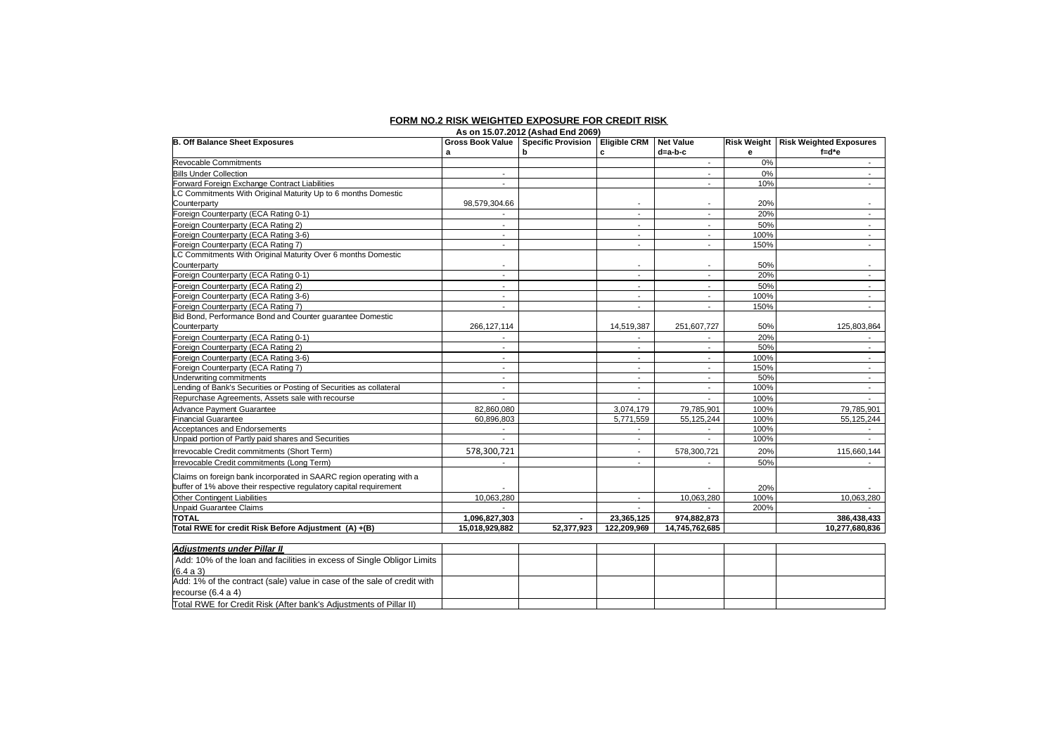### **FORM NO.2 RISK WEIGHTED EXPOSURE FOR CREDIT RISK**

|                                                                         |                          | As on 15.07.2012 (Ashad End 2069)     |                          |                          |      |                                       |
|-------------------------------------------------------------------------|--------------------------|---------------------------------------|--------------------------|--------------------------|------|---------------------------------------|
| <b>B. Off Balance Sheet Exposures</b>                                   |                          | Gross Book Value   Specific Provision | <b>Eligible CRM</b>      | <b>Net Value</b>         |      | Risk Weight   Risk Weighted Exposures |
|                                                                         | a                        | b                                     | c                        | d=a-b-c                  | е    | $f = d^*e$                            |
| <b>Revocable Commitments</b>                                            |                          |                                       |                          | $\sim$                   | 0%   | $\sim$                                |
| <b>Bills Under Collection</b>                                           |                          |                                       |                          | $\blacksquare$           | 0%   | $\overline{\phantom{a}}$              |
| Forward Foreign Exchange Contract Liabilities                           |                          |                                       |                          |                          | 10%  |                                       |
| LC Commitments With Original Maturity Up to 6 months Domestic           |                          |                                       |                          |                          |      |                                       |
| Counterparty                                                            | 98,579,304.66            |                                       |                          | $\overline{\phantom{a}}$ | 20%  |                                       |
| Foreign Counterparty (ECA Rating 0-1)                                   |                          |                                       |                          |                          | 20%  |                                       |
| Foreign Counterparty (ECA Rating 2)                                     | $\mathbf{r}$             |                                       | $\sim$                   | $\sim$                   | 50%  | $\sim$                                |
| Foreign Counterparty (ECA Rating 3-6)                                   | $\overline{a}$           |                                       | $\blacksquare$           | $\blacksquare$           | 100% | $\blacksquare$                        |
| Foreign Counterparty (ECA Rating 7)                                     | ٠                        |                                       | $\overline{\phantom{a}}$ | $\overline{\phantom{a}}$ | 150% | $\blacksquare$                        |
| LC Commitments With Original Maturity Over 6 months Domestic            |                          |                                       |                          |                          |      |                                       |
| Counterparty                                                            | $\overline{a}$           |                                       |                          | $\blacksquare$           | 50%  | $\overline{\phantom{a}}$              |
| Foreign Counterparty (ECA Rating 0-1)                                   | $\overline{\phantom{a}}$ |                                       | $\blacksquare$           | $\overline{\phantom{a}}$ | 20%  | $\overline{\phantom{a}}$              |
| Foreign Counterparty (ECA Rating 2)                                     | $\sim$                   |                                       |                          | $\overline{\phantom{a}}$ | 50%  | $\sim$                                |
| Foreign Counterparty (ECA Rating 3-6)                                   | $\blacksquare$           |                                       | $\blacksquare$           | $\blacksquare$           | 100% | $\blacksquare$                        |
| Foreign Counterparty (ECA Rating 7)                                     | $\blacksquare$           |                                       | $\blacksquare$           | $\overline{\phantom{a}}$ | 150% | $\overline{\phantom{a}}$              |
| Bid Bond, Performance Bond and Counter guarantee Domestic               |                          |                                       |                          |                          |      |                                       |
| Counterparty                                                            | 266,127,114              |                                       | 14,519,387               | 251,607,727              | 50%  | 125,803,864                           |
| Foreign Counterparty (ECA Rating 0-1)                                   | $\overline{\phantom{a}}$ |                                       |                          | $\sim$                   | 20%  |                                       |
| Foreign Counterparty (ECA Rating 2)                                     |                          |                                       |                          | $\sim$                   | 50%  |                                       |
| Foreign Counterparty (ECA Rating 3-6)                                   | $\blacksquare$           |                                       | $\overline{\phantom{a}}$ | $\sim$                   | 100% | $\sim$                                |
| Foreign Counterparty (ECA Rating 7)                                     | $\blacksquare$           |                                       | $\blacksquare$           | $\sim$                   | 150% | $\blacksquare$                        |
| Underwriting commitments                                                | $\blacksquare$           |                                       | $\blacksquare$           | $\blacksquare$           | 50%  | $\overline{\phantom{a}}$              |
| Lending of Bank's Securities or Posting of Securities as collateral     | $\blacksquare$           |                                       | $\overline{\phantom{a}}$ | $\blacksquare$           | 100% | $\sim$                                |
| Repurchase Agreements, Assets sale with recourse                        |                          |                                       |                          |                          | 100% |                                       |
| <b>Advance Payment Guarantee</b>                                        | 82.860.080               |                                       | 3.074.179                | 79,785,901               | 100% | 79,785,901                            |
| <b>Financial Guarantee</b>                                              | 60,896,803               |                                       | 5,771,559                | 55,125,244               | 100% | 55,125,244                            |
| Acceptances and Endorsements                                            | $\overline{a}$           |                                       |                          | $\overline{\phantom{a}}$ | 100% |                                       |
| Unpaid portion of Partly paid shares and Securities                     |                          |                                       |                          |                          | 100% |                                       |
| Irrevocable Credit commitments (Short Term)                             | 578,300,721              |                                       |                          | 578,300,721              | 20%  | 115,660,144                           |
| Irrevocable Credit commitments (Long Term)                              |                          |                                       | $\sim$                   | $\overline{\phantom{a}}$ | 50%  |                                       |
| Claims on foreign bank incorporated in SAARC region operating with a    |                          |                                       |                          |                          |      |                                       |
| buffer of 1% above their respective regulatory capital requirement      |                          |                                       |                          |                          | 20%  |                                       |
| Other Contingent Liabilities                                            | 10,063,280               |                                       | $\sim$                   | 10,063,280               | 100% | 10,063,280                            |
| <b>Unpaid Guarantee Claims</b>                                          |                          |                                       | $\sim$                   |                          | 200% |                                       |
| <b>TOTAL</b>                                                            | 1,096,827,303            |                                       | 23,365,125               | 974,882,873              |      | 386,438,433                           |
| Total RWE for credit Risk Before Adjustment (A) +(B)                    | 15,018,929,882           | 52,377,923                            | 122,209,969              | 14,745,762,685           |      | 10,277,680,836                        |
|                                                                         |                          |                                       |                          |                          |      |                                       |
| <b>Adjustments under Pillar II</b>                                      |                          |                                       |                          |                          |      |                                       |
| Add: 10% of the loan and facilities in excess of Single Obligor Limits  |                          |                                       |                          |                          |      |                                       |
| (6.4 a 3)                                                               |                          |                                       |                          |                          |      |                                       |
| Add: 1% of the contract (sale) value in case of the sale of credit with |                          |                                       |                          |                          |      |                                       |

recourse (6.4 a 4)

Total RWE for Credit Risk (After bank's Adjustments of Pillar II)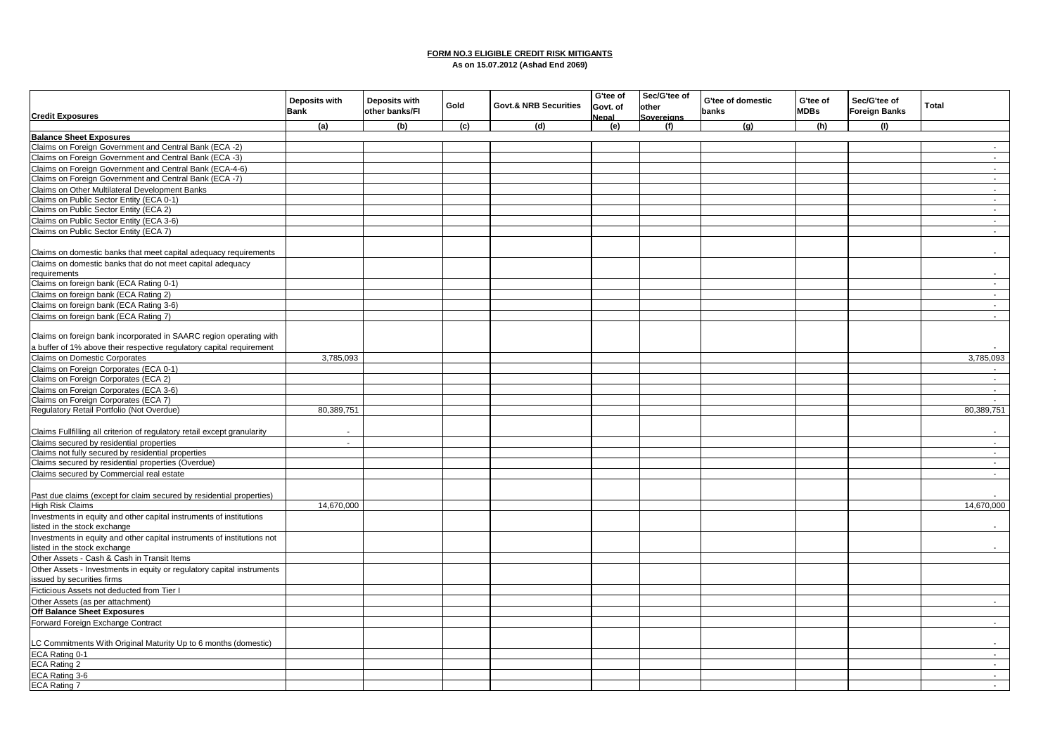#### **FORM NO.3 ELIGIBLE CREDIT RISK MITIGANTS As on 15.07.2012 (Ashad End 2069)**

| <b>Credit Exposures</b>                                                  | <b>Deposits with</b><br><b>Bank</b> | Deposits with<br>other banks/FI | Gold | <b>Govt.&amp; NRB Securities</b> | G'tee of<br>Govt. of<br>Nepal | Sec/G'tee of<br>other<br><b>Sovereians</b> | G'tee of domestic<br>banks | G'tee of<br><b>MDBs</b> | Sec/G'tee of<br><b>Foreign Banks</b> | <b>Total</b>   |
|--------------------------------------------------------------------------|-------------------------------------|---------------------------------|------|----------------------------------|-------------------------------|--------------------------------------------|----------------------------|-------------------------|--------------------------------------|----------------|
|                                                                          | (a)                                 | (b)                             | (c)  | (d)                              | (e)                           | (f)                                        | (g)                        | (h)                     | (1)                                  |                |
| <b>Balance Sheet Exposures</b>                                           |                                     |                                 |      |                                  |                               |                                            |                            |                         |                                      |                |
| Claims on Foreign Government and Central Bank (ECA -2)                   |                                     |                                 |      |                                  |                               |                                            |                            |                         |                                      | $\sim$         |
| Claims on Foreign Government and Central Bank (ECA -3)                   |                                     |                                 |      |                                  |                               |                                            |                            |                         |                                      | $\sim$         |
| Claims on Foreign Government and Central Bank (ECA-4-6)                  |                                     |                                 |      |                                  |                               |                                            |                            |                         |                                      | $\sim$         |
| Claims on Foreign Government and Central Bank (ECA -7)                   |                                     |                                 |      |                                  |                               |                                            |                            |                         |                                      | $\sim$         |
|                                                                          |                                     |                                 |      |                                  |                               |                                            |                            |                         |                                      |                |
| Claims on Other Multilateral Development Banks                           |                                     |                                 |      |                                  |                               |                                            |                            |                         |                                      | $\sim$         |
| Claims on Public Sector Entity (ECA 0-1)                                 |                                     |                                 |      |                                  |                               |                                            |                            |                         |                                      | $\sim$         |
| Claims on Public Sector Entity (ECA 2)                                   |                                     |                                 |      |                                  |                               |                                            |                            |                         |                                      | $\blacksquare$ |
| Claims on Public Sector Entity (ECA 3-6)                                 |                                     |                                 |      |                                  |                               |                                            |                            |                         |                                      | $\sim$         |
| Claims on Public Sector Entity (ECA 7)                                   |                                     |                                 |      |                                  |                               |                                            |                            |                         |                                      | $\sim$         |
|                                                                          |                                     |                                 |      |                                  |                               |                                            |                            |                         |                                      |                |
| Claims on domestic banks that meet capital adequacy requirements         |                                     |                                 |      |                                  |                               |                                            |                            |                         |                                      | $\sim$         |
| Claims on domestic banks that do not meet capital adequacy               |                                     |                                 |      |                                  |                               |                                            |                            |                         |                                      |                |
| requirements                                                             |                                     |                                 |      |                                  |                               |                                            |                            |                         |                                      |                |
| Claims on foreign bank (ECA Rating 0-1)                                  |                                     |                                 |      |                                  |                               |                                            |                            |                         |                                      | $\sim$         |
| Claims on foreign bank (ECA Rating 2)                                    |                                     |                                 |      |                                  |                               |                                            |                            |                         |                                      | $\sim$         |
| Claims on foreign bank (ECA Rating 3-6)                                  |                                     |                                 |      |                                  |                               |                                            |                            |                         |                                      | $\sim$         |
| Claims on foreign bank (ECA Rating 7)                                    |                                     |                                 |      |                                  |                               |                                            |                            |                         |                                      |                |
|                                                                          |                                     |                                 |      |                                  |                               |                                            |                            |                         |                                      | $\sim$         |
| Claims on foreign bank incorporated in SAARC region operating with       |                                     |                                 |      |                                  |                               |                                            |                            |                         |                                      |                |
| a buffer of 1% above their respective regulatory capital requirement     |                                     |                                 |      |                                  |                               |                                            |                            |                         |                                      |                |
| Claims on Domestic Corporates                                            | 3,785,093                           |                                 |      |                                  |                               |                                            |                            |                         |                                      | 3,785,093      |
| Claims on Foreign Corporates (ECA 0-1)                                   |                                     |                                 |      |                                  |                               |                                            |                            |                         |                                      | $\sim$         |
| Claims on Foreign Corporates (ECA 2)                                     |                                     |                                 |      |                                  |                               |                                            |                            |                         |                                      | $\sim$         |
| Claims on Foreign Corporates (ECA 3-6)                                   |                                     |                                 |      |                                  |                               |                                            |                            |                         |                                      | $\sim$         |
| Claims on Foreign Corporates (ECA 7)                                     |                                     |                                 |      |                                  |                               |                                            |                            |                         |                                      | $\sim$         |
| Regulatory Retail Portfolio (Not Overdue)                                | 80,389,751                          |                                 |      |                                  |                               |                                            |                            |                         |                                      | 80,389,751     |
|                                                                          |                                     |                                 |      |                                  |                               |                                            |                            |                         |                                      |                |
| Claims Fullfilling all criterion of regulatory retail except granularity |                                     |                                 |      |                                  |                               |                                            |                            |                         |                                      |                |
|                                                                          |                                     |                                 |      |                                  |                               |                                            |                            |                         |                                      |                |
| Claims secured by residential properties                                 | $\sim$                              |                                 |      |                                  |                               |                                            |                            |                         |                                      | $\sim$         |
| Claims not fully secured by residential properties                       |                                     |                                 |      |                                  |                               |                                            |                            |                         |                                      | $\sim$         |
| Claims secured by residential properties (Overdue)                       |                                     |                                 |      |                                  |                               |                                            |                            |                         |                                      | $\sim$         |
| Claims secured by Commercial real estate                                 |                                     |                                 |      |                                  |                               |                                            |                            |                         |                                      | $\sim 100$     |
|                                                                          |                                     |                                 |      |                                  |                               |                                            |                            |                         |                                      |                |
| Past due claims (except for claim secured by residential properties)     |                                     |                                 |      |                                  |                               |                                            |                            |                         |                                      |                |
| <b>High Risk Claims</b>                                                  | 14,670,000                          |                                 |      |                                  |                               |                                            |                            |                         |                                      | 14,670,000     |
| Investments in equity and other capital instruments of institutions      |                                     |                                 |      |                                  |                               |                                            |                            |                         |                                      |                |
| listed in the stock exchange                                             |                                     |                                 |      |                                  |                               |                                            |                            |                         |                                      |                |
| Investments in equity and other capital instruments of institutions not  |                                     |                                 |      |                                  |                               |                                            |                            |                         |                                      |                |
| listed in the stock exchange                                             |                                     |                                 |      |                                  |                               |                                            |                            |                         |                                      |                |
| Other Assets - Cash & Cash in Transit Items                              |                                     |                                 |      |                                  |                               |                                            |                            |                         |                                      |                |
|                                                                          |                                     |                                 |      |                                  |                               |                                            |                            |                         |                                      |                |
| Other Assets - Investments in equity or regulatory capital instruments   |                                     |                                 |      |                                  |                               |                                            |                            |                         |                                      |                |
| issued by securities firms                                               |                                     |                                 |      |                                  |                               |                                            |                            |                         |                                      |                |
| Ficticious Assets not deducted from Tier I                               |                                     |                                 |      |                                  |                               |                                            |                            |                         |                                      |                |
| Other Assets (as per attachment)                                         |                                     |                                 |      |                                  |                               |                                            |                            |                         |                                      | $\sim$         |
| <b>Off Balance Sheet Exposures</b>                                       |                                     |                                 |      |                                  |                               |                                            |                            |                         |                                      |                |
| Forward Foreign Exchange Contract                                        |                                     |                                 |      |                                  |                               |                                            |                            |                         |                                      | $\sim$         |
| LC Commitments With Original Maturity Up to 6 months (domestic)          |                                     |                                 |      |                                  |                               |                                            |                            |                         |                                      | $\sim$         |
| ECA Rating 0-1                                                           |                                     |                                 |      |                                  |                               |                                            |                            |                         |                                      | $\sim$         |
| ECA Rating 2                                                             |                                     |                                 |      |                                  |                               |                                            |                            |                         |                                      | $\sim$         |
|                                                                          |                                     |                                 |      |                                  |                               |                                            |                            |                         |                                      |                |
| ECA Rating 3-6                                                           |                                     |                                 |      |                                  |                               |                                            |                            |                         |                                      | $\sim$         |
| ECA Rating 7                                                             |                                     |                                 |      |                                  |                               |                                            |                            |                         |                                      | $\sim$         |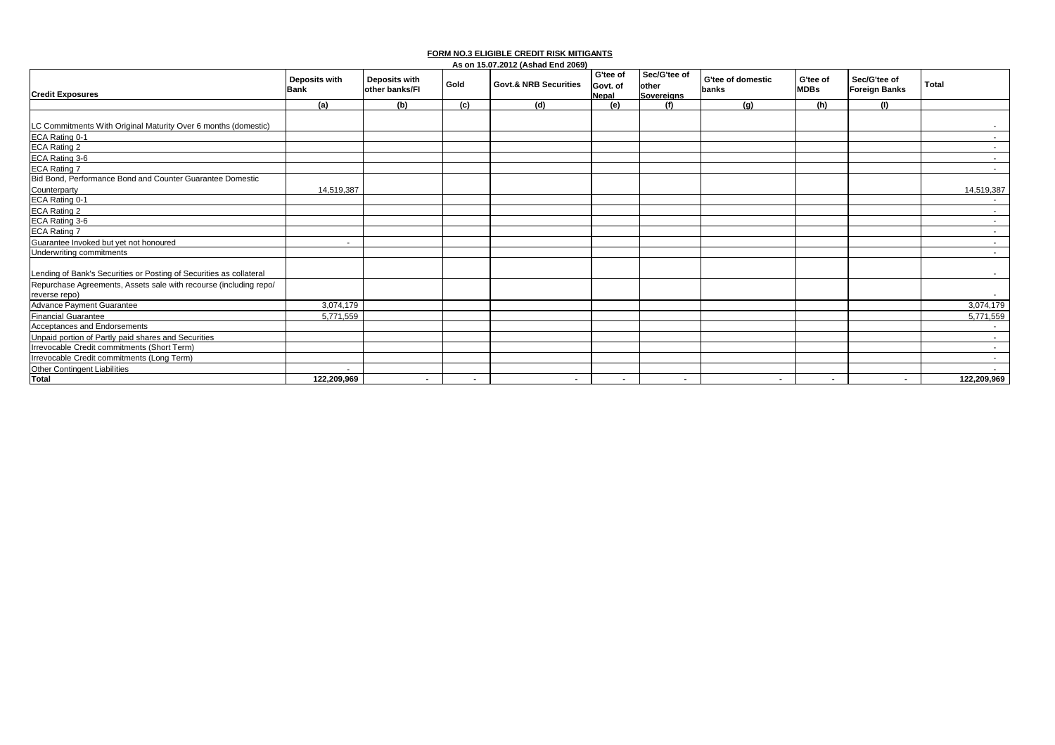| <b>Credit Exposures</b>                                                            | <b>Deposits with</b><br><b>Bank</b> | Deposits with<br>other banks/FI | Gold      | <b>Govt.&amp; NRB Securities</b> | G'tee of<br>Govt. of<br>Nepal | Sec/G'tee of<br>other<br><b>Sovereians</b> | G'tee of domestic<br>banks | G'tee of<br><b>MDBs</b> | Sec/G'tee of<br><b>Foreign Banks</b> | <b>Total</b> |
|------------------------------------------------------------------------------------|-------------------------------------|---------------------------------|-----------|----------------------------------|-------------------------------|--------------------------------------------|----------------------------|-------------------------|--------------------------------------|--------------|
|                                                                                    | (a)                                 | (b)                             | (c)       | (d)                              | (e)                           | (f)                                        | (g)                        | (h)                     | (1)                                  |              |
| LC Commitments With Original Maturity Over 6 months (domestic)                     |                                     |                                 |           |                                  |                               |                                            |                            |                         |                                      |              |
| ECA Rating 0-1                                                                     |                                     |                                 |           |                                  |                               |                                            |                            |                         |                                      | $\sim$       |
| ECA Rating 2                                                                       |                                     |                                 |           |                                  |                               |                                            |                            |                         |                                      | $\sim$       |
| ECA Rating 3-6                                                                     |                                     |                                 |           |                                  |                               |                                            |                            |                         |                                      | $\sim$       |
| <b>ECA Rating 7</b>                                                                |                                     |                                 |           |                                  |                               |                                            |                            |                         |                                      | $\sim$       |
| Bid Bond, Performance Bond and Counter Guarantee Domestic                          |                                     |                                 |           |                                  |                               |                                            |                            |                         |                                      |              |
| Counterparty                                                                       | 14,519,387                          |                                 |           |                                  |                               |                                            |                            |                         |                                      | 14,519,387   |
| ECA Rating 0-1                                                                     |                                     |                                 |           |                                  |                               |                                            |                            |                         |                                      |              |
| ECA Rating 2                                                                       |                                     |                                 |           |                                  |                               |                                            |                            |                         |                                      | $\sim$       |
| ECA Rating 3-6                                                                     |                                     |                                 |           |                                  |                               |                                            |                            |                         |                                      | $\sim$       |
| <b>ECA Rating 7</b>                                                                |                                     |                                 |           |                                  |                               |                                            |                            |                         |                                      | $\sim$       |
| Guarantee Invoked but yet not honoured                                             | $\sim$                              |                                 |           |                                  |                               |                                            |                            |                         |                                      | $\sim$       |
| Underwriting commitments                                                           |                                     |                                 |           |                                  |                               |                                            |                            |                         |                                      | $\sim$       |
| Lending of Bank's Securities or Posting of Securities as collateral                |                                     |                                 |           |                                  |                               |                                            |                            |                         |                                      |              |
| Repurchase Agreements, Assets sale with recourse (including repo/<br>reverse repo) |                                     |                                 |           |                                  |                               |                                            |                            |                         |                                      |              |
| <b>Advance Payment Guarantee</b>                                                   | 3,074,179                           |                                 |           |                                  |                               |                                            |                            |                         |                                      | 3,074,179    |
| <b>Financial Guarantee</b>                                                         | 5,771,559                           |                                 |           |                                  |                               |                                            |                            |                         |                                      | 5,771,559    |
| Acceptances and Endorsements                                                       |                                     |                                 |           |                                  |                               |                                            |                            |                         |                                      | $\sim$       |
| Unpaid portion of Partly paid shares and Securities                                |                                     |                                 |           |                                  |                               |                                            |                            |                         |                                      | $\sim$       |
| Irrevocable Credit commitments (Short Term)                                        |                                     |                                 |           |                                  |                               |                                            |                            |                         |                                      | $\sim$       |
| Irrevocable Credit commitments (Long Term)                                         |                                     |                                 |           |                                  |                               |                                            |                            |                         |                                      | $\sim$       |
| Other Contingent Liabilities                                                       | $\overline{\phantom{a}}$            |                                 |           |                                  |                               |                                            |                            |                         |                                      |              |
| Total                                                                              | 122,209,969                         | $\sim$                          | $\,$ $\,$ | $\sim$                           | $\blacksquare$                | $\blacksquare$                             | $\sim$                     | $\blacksquare$          | $\blacksquare$                       | 122,209,969  |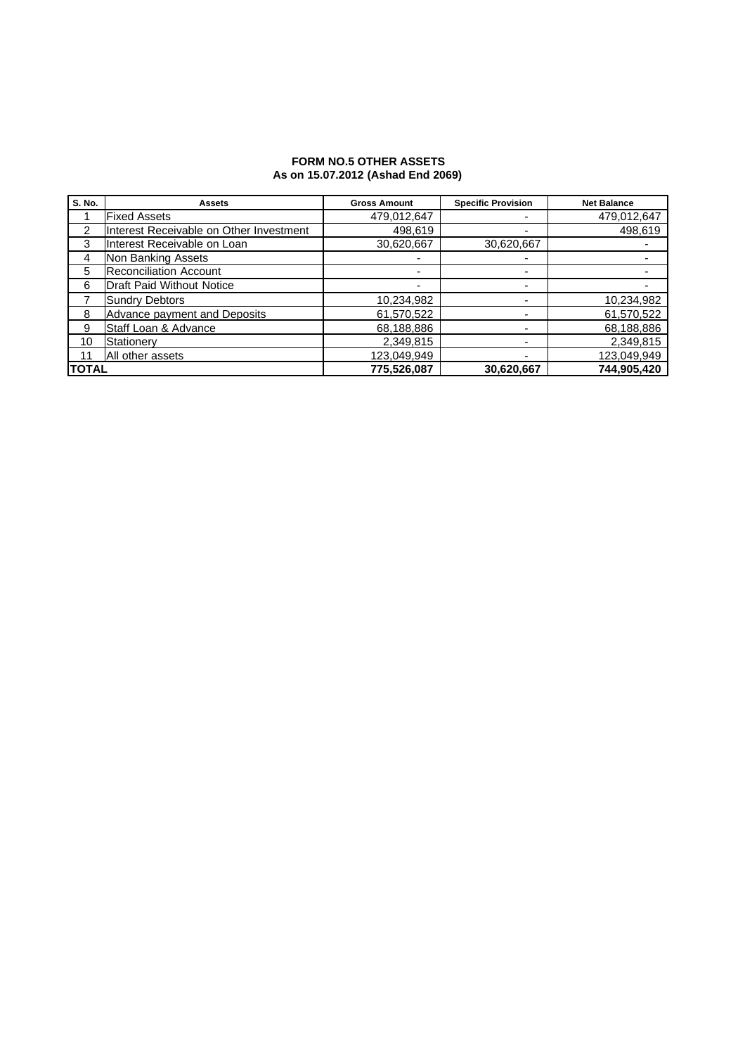### **FORM NO.5 OTHER ASSETS As on 15.07.2012 (Ashad End 2069)**

| S. No.       | <b>Assets</b>                           | <b>Gross Amount</b> | <b>Specific Provision</b> | <b>Net Balance</b> |
|--------------|-----------------------------------------|---------------------|---------------------------|--------------------|
|              | <b>Fixed Assets</b>                     | 479,012,647         | -                         | 479,012,647        |
| 2            | Interest Receivable on Other Investment | 498,619             | $\overline{\phantom{0}}$  | 498,619            |
| 3            | Interest Receivable on Loan             | 30,620,667          | 30,620,667                |                    |
| 4            | Non Banking Assets                      |                     | -                         |                    |
| 5            | <b>Reconciliation Account</b>           |                     | -                         |                    |
| 6            | <b>Draft Paid Without Notice</b>        |                     |                           |                    |
|              | <b>Sundry Debtors</b>                   | 10,234,982          | $\overline{\phantom{0}}$  | 10,234,982         |
| 8            | Advance payment and Deposits            | 61,570,522          |                           | 61,570,522         |
| 9            | Staff Loan & Advance                    | 68,188,886          |                           | 68,188,886         |
| 10           | Stationery                              | 2,349,815           | $\overline{\phantom{0}}$  | 2,349,815          |
|              | All other assets                        | 123,049,949         | -                         | 123,049,949        |
| <b>TOTAL</b> |                                         | 775,526,087         | 30,620,667                | 744,905,420        |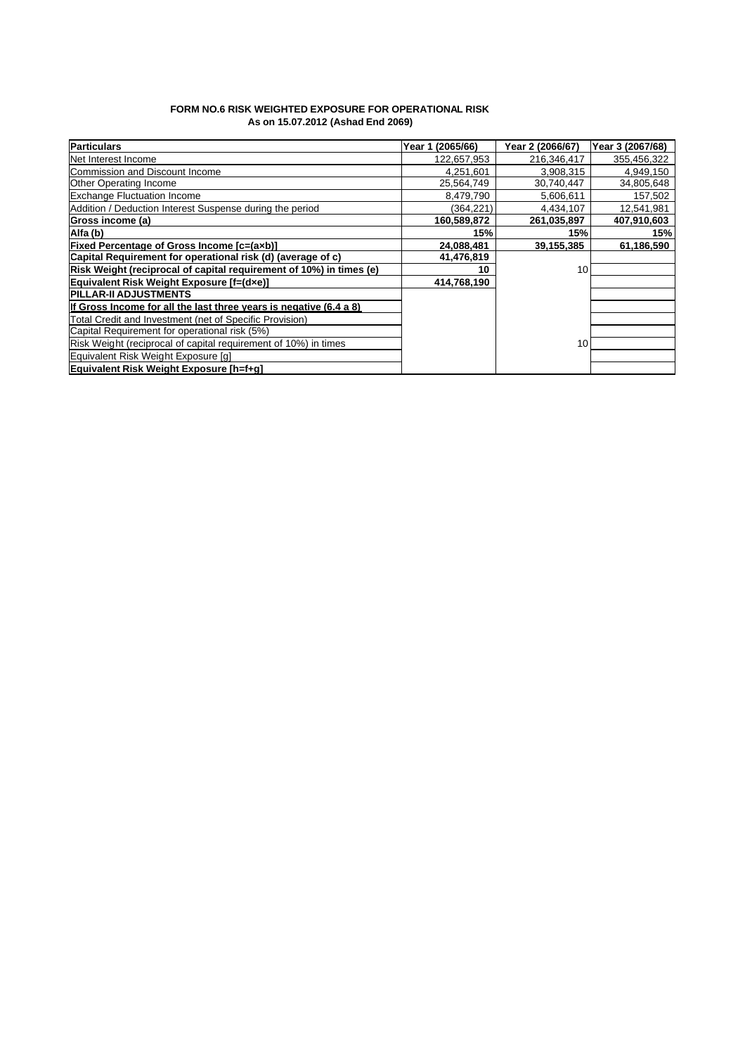### **FORM NO.6 RISK WEIGHTED EXPOSURE FOR OPERATIONAL RISK As on 15.07.2012 (Ashad End 2069)**

| <b>Particulars</b>                                                  | Year 1 (2065/66) | Year 2 (2066/67) | Year 3 (2067/68) |
|---------------------------------------------------------------------|------------------|------------------|------------------|
| Net Interest Income                                                 | 122,657,953      | 216,346,417      | 355,456,322      |
| Commission and Discount Income                                      | 4,251,601        | 3,908,315        | 4,949,150        |
| <b>Other Operating Income</b>                                       | 25,564,749       | 30,740,447       | 34,805,648       |
| <b>Exchange Fluctuation Income</b>                                  | 8,479,790        | 5,606,611        | 157,502          |
| Addition / Deduction Interest Suspense during the period            | (364.221)        | 4,434,107        | 12,541,981       |
| Gross income (a)                                                    | 160,589,872      | 261,035,897      | 407,910,603      |
| Alfa (b)                                                            | 15%              | 15%              | 15%              |
| <b>Fixed Percentage of Gross Income [c=(axb)]</b>                   | 24,088,481       | 39,155,385       | 61,186,590       |
| Capital Requirement for operational risk (d) (average of c)         | 41,476,819       |                  |                  |
| Risk Weight (reciprocal of capital requirement of 10%) in times (e) | 10               | 10               |                  |
| Equivalent Risk Weight Exposure [f=(dxe)]                           | 414,768,190      |                  |                  |
| <b>IPILLAR-II ADJUSTMENTS</b>                                       |                  |                  |                  |
| If Gross Income for all the last three vears is negative (6.4 a 8)  |                  |                  |                  |
| Total Credit and Investment (net of Specific Provision)             |                  |                  |                  |
| Capital Requirement for operational risk (5%)                       |                  |                  |                  |
| Risk Weight (reciprocal of capital requirement of 10%) in times     |                  | 10               |                  |
| Equivalent Risk Weight Exposure [q]                                 |                  |                  |                  |
| Equivalent Risk Weight Exposure [h=f+q]                             |                  |                  |                  |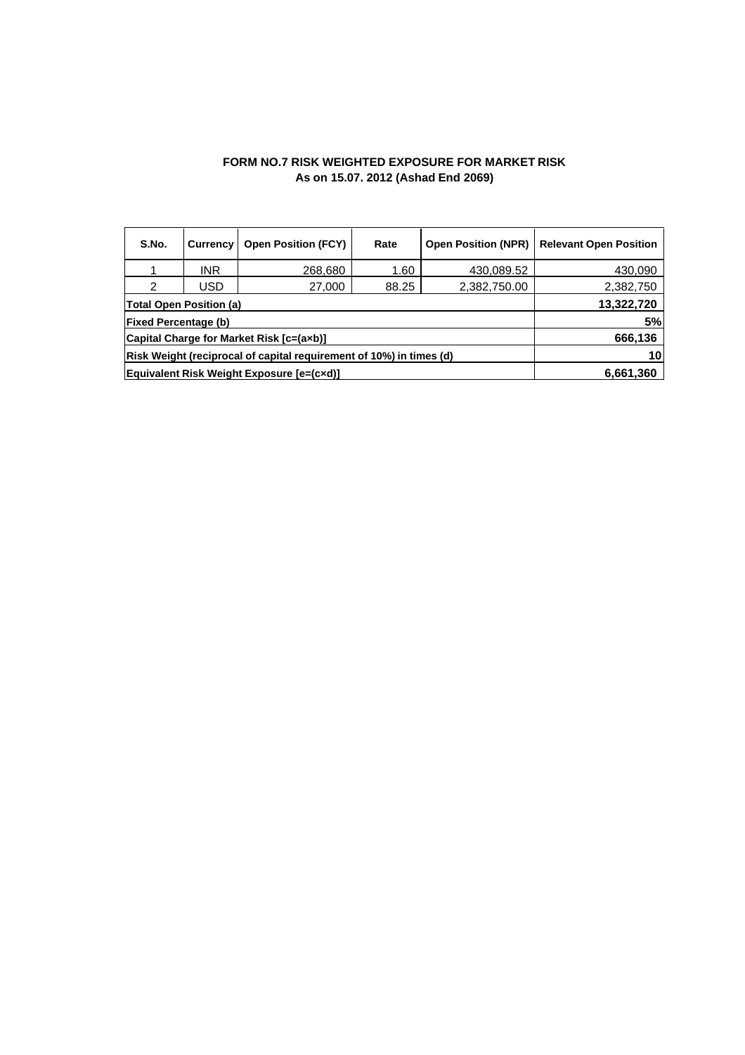### **FORM NO.7 RISK WEIGHTED EXPOSURE FOR MARKET RISK As on 15.07. 2012 (Ashad End 2069)**

| S.No.                                                                | <b>Currency</b> | <b>Open Position (FCY)</b> | Rate  | <b>Open Position (NPR)</b> | <b>Relevant Open Position</b> |
|----------------------------------------------------------------------|-----------------|----------------------------|-------|----------------------------|-------------------------------|
|                                                                      | INR             | 268,680                    | 1.60  | 430,089.52                 | 430,090                       |
| 2                                                                    | USD             | 27,000                     | 88.25 | 2,382,750.00               | 2,382,750                     |
| <b>Total Open Position (a)</b>                                       | 13,322,720      |                            |       |                            |                               |
| <b>Fixed Percentage (b)</b>                                          | 5%              |                            |       |                            |                               |
| Capital Charge for Market Risk [c=(axb)]                             | 666,136         |                            |       |                            |                               |
| (Risk Weight (reciprocal of capital requirement of 10%) in times (d) | 10              |                            |       |                            |                               |
| Equivalent Risk Weight Exposure [e=(cxd)]                            | 6,661,360       |                            |       |                            |                               |